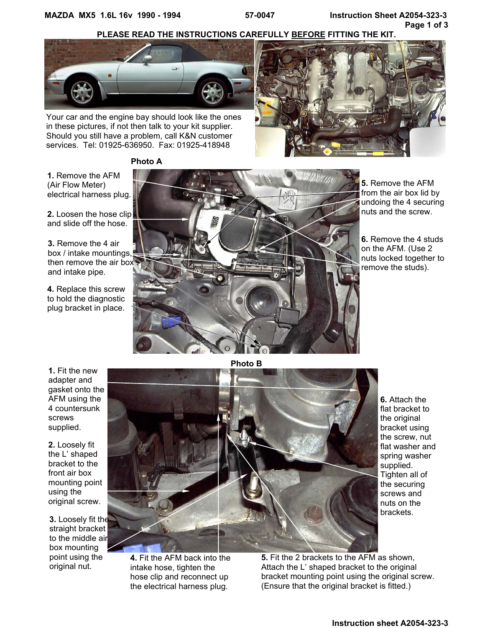**PLEASE READ THE INSTRUCTIONS CAREFULLY BEFORE FITTING THE KIT.**



Your car and the engine bay should look like the ones in these pictures, if not then talk to your kit supplier. Should you still have a problem, call K&N customer services. Tel: 01925-636950. Fax: 01925-418948



**Photo A** 

**1.** Remove the AFM (Air Flow Meter) electrical harness plug.

**2.** Loosen the hose clip and slide off the hose.

**3.** Remove the 4 air box / intake mountings, then remove the air box and intake pipe.

**4.** Replace this screw to hold the diagnostic plug bracket in place.



**5.** Remove the AFM from the air box lid by undoing the 4 securing nuts and the screw.

**6.** Remove the 4 studs on the AFM. (Use 2 nuts locked together to remove the studs).

**1.** Fit the new adapter and gasket onto the AFM using the 4 countersunk screws supplied.

**2.** Loosely fit the L' shaped bracket to the front air box mounting point using the original screw.

**3.** Loosely fit the straight bracket to the middle air box mounting point using the original nut.



**4.** Fit the AFM back into the intake hose, tighten the hose clip and reconnect up the electrical harness plug.

flat washer and spring washer supplied. Tighten all of the securing screws and nuts on the brackets.

**5.** Fit the 2 brackets to the AFM as shown, Attach the L' shaped bracket to the original bracket mounting point using the original screw. (Ensure that the original bracket is fitted.)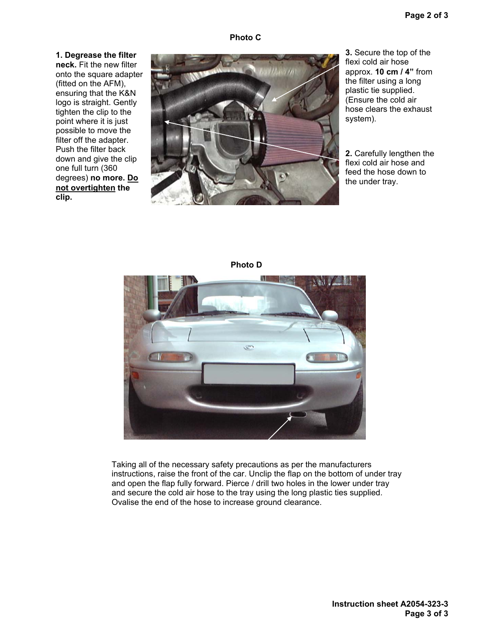**1. Degrease the filter neck.** Fit the new filter onto the square adapter (fitted on the AFM), ensuring that the K&N logo is straight. Gently tighten the clip to the point where it is just possible to move the filter off the adapter. Push the filter back down and give the clip one full turn (360 degrees) **no more. Do not overtighten the clip.** 



**10cm / 4"**  approx. **10 cm / 4"** from the filter using a long **3.** Secure the top of the flexi cold air hose plastic tie supplied. (Ensure the cold air hose clears the exhaust system).

**2.** Carefully lengthen the flexi cold air hose and feed the hose down to the under tray.





Taking all of the necessary safety precautions as per the manufacturers instructions, raise the front of the car. Unclip the flap on the bottom of under tray and open the flap fully forward. Pierce / drill two holes in the lower under tray and secure the cold air hose to the tray using the long plastic ties supplied. Ovalise the end of the hose to increase ground clearance.